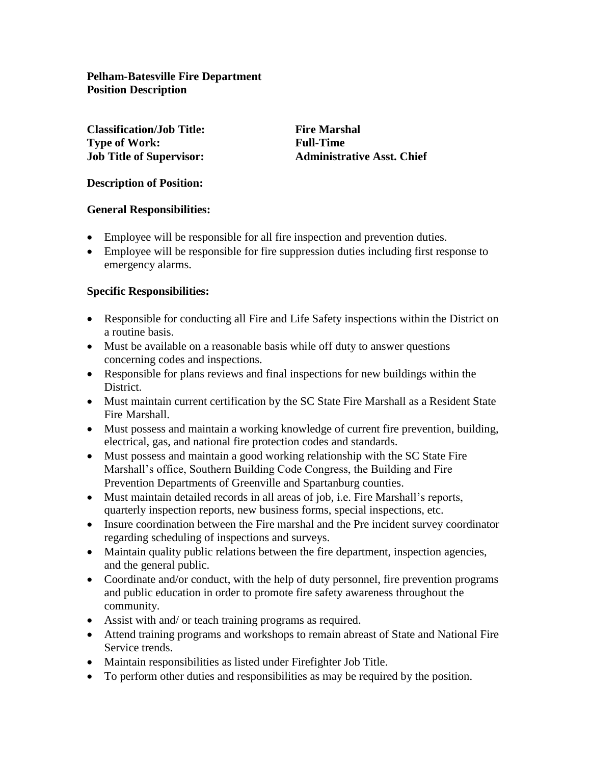**Pelham-Batesville Fire Department Position Description**

**Classification/Job Title: Fire Marshal Type of Work: Full-Time**

**Job Title of Supervisor: Administrative Asst. Chief**

### **Description of Position:**

#### **General Responsibilities:**

- Employee will be responsible for all fire inspection and prevention duties.
- Employee will be responsible for fire suppression duties including first response to emergency alarms.

#### **Specific Responsibilities:**

- Responsible for conducting all Fire and Life Safety inspections within the District on a routine basis.
- Must be available on a reasonable basis while off duty to answer questions concerning codes and inspections.
- Responsible for plans reviews and final inspections for new buildings within the District.
- Must maintain current certification by the SC State Fire Marshall as a Resident State Fire Marshall.
- Must possess and maintain a working knowledge of current fire prevention, building, electrical, gas, and national fire protection codes and standards.
- Must possess and maintain a good working relationship with the SC State Fire Marshall's office, Southern Building Code Congress, the Building and Fire Prevention Departments of Greenville and Spartanburg counties.
- Must maintain detailed records in all areas of job, i.e. Fire Marshall's reports, quarterly inspection reports, new business forms, special inspections, etc.
- Insure coordination between the Fire marshal and the Pre incident survey coordinator regarding scheduling of inspections and surveys.
- Maintain quality public relations between the fire department, inspection agencies, and the general public.
- Coordinate and/or conduct, with the help of duty personnel, fire prevention programs and public education in order to promote fire safety awareness throughout the community.
- Assist with and/ or teach training programs as required.
- Attend training programs and workshops to remain abreast of State and National Fire Service trends.
- Maintain responsibilities as listed under Firefighter Job Title.
- To perform other duties and responsibilities as may be required by the position.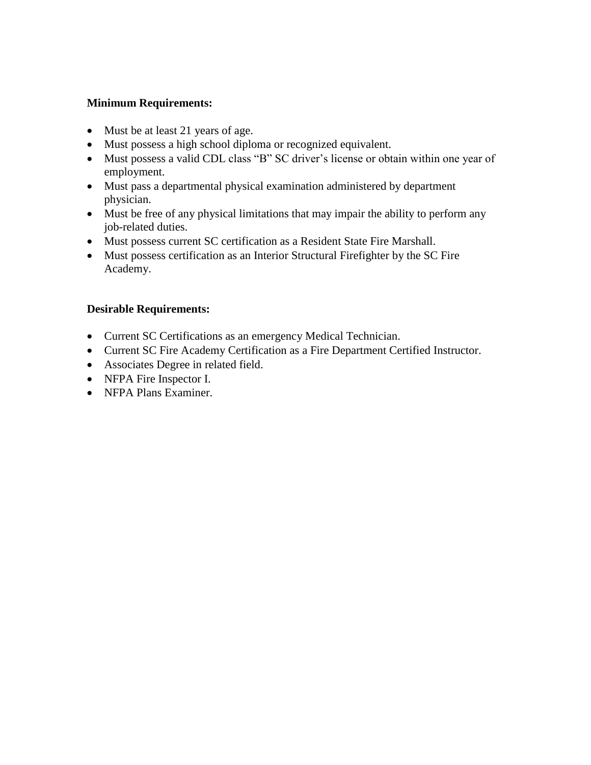## **Minimum Requirements:**

- Must be at least 21 years of age.
- Must possess a high school diploma or recognized equivalent.
- Must possess a valid CDL class "B" SC driver's license or obtain within one year of employment.
- Must pass a departmental physical examination administered by department physician.
- Must be free of any physical limitations that may impair the ability to perform any job-related duties.
- Must possess current SC certification as a Resident State Fire Marshall.
- Must possess certification as an Interior Structural Firefighter by the SC Fire Academy.

## **Desirable Requirements:**

- Current SC Certifications as an emergency Medical Technician.
- Current SC Fire Academy Certification as a Fire Department Certified Instructor.
- Associates Degree in related field.
- NFPA Fire Inspector I.
- NFPA Plans Examiner.